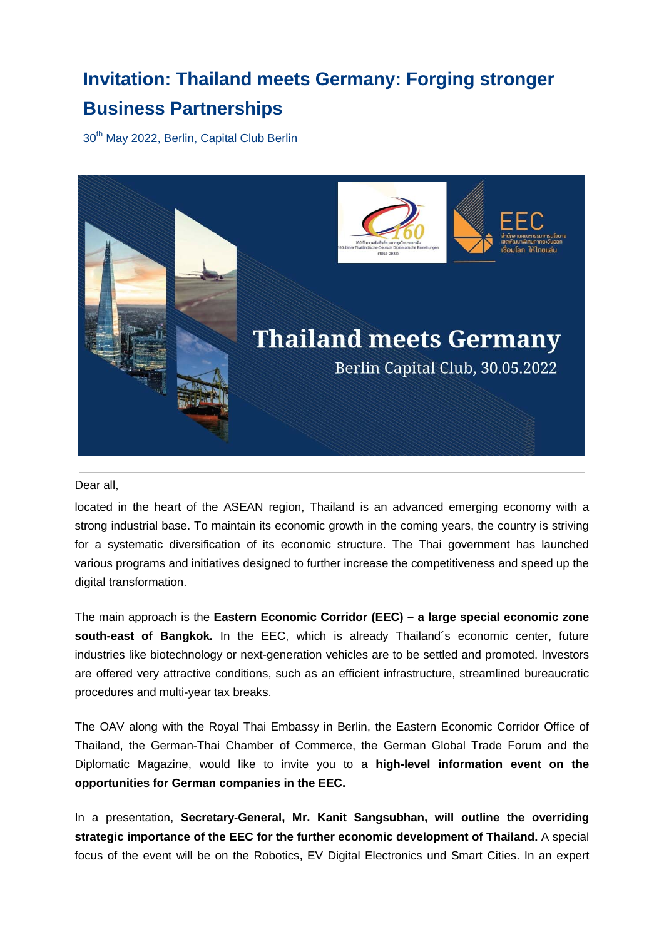# **Invitation: Thailand meets Germany: Forging stronger Business Partnerships**

30<sup>th</sup> May 2022, Berlin, Capital Club Berlin



Dear all,

located in the heart of the ASEAN region, Thailand is an advanced emerging economy with a strong industrial base. To maintain its economic growth in the coming years, the country is striving for a systematic diversification of its economic structure. The Thai government has launched various programs and initiatives designed to further increase the competitiveness and speed up the digital transformation.

The main approach is the **Eastern Economic Corridor (EEC) – a large special economic zone south-east of Bangkok.** In the EEC, which is already Thailand´s economic center, future industries like biotechnology or next-generation vehicles are to be settled and promoted. Investors are offered very attractive conditions, such as an efficient infrastructure, streamlined bureaucratic procedures and multi-year tax breaks.

The OAV along with the Royal Thai Embassy in Berlin, the Eastern Economic Corridor Office of Thailand, the German-Thai Chamber of Commerce, the German Global Trade Forum and the Diplomatic Magazine, would like to invite you to a **high-level information event on the opportunities for German companies in the EEC.**

In a presentation, **Secretary-General, Mr. Kanit Sangsubhan, will outline the overriding strategic importance of the EEC for the further economic development of Thailand.** A special focus of the event will be on the Robotics, EV Digital Electronics und Smart Cities. In an expert